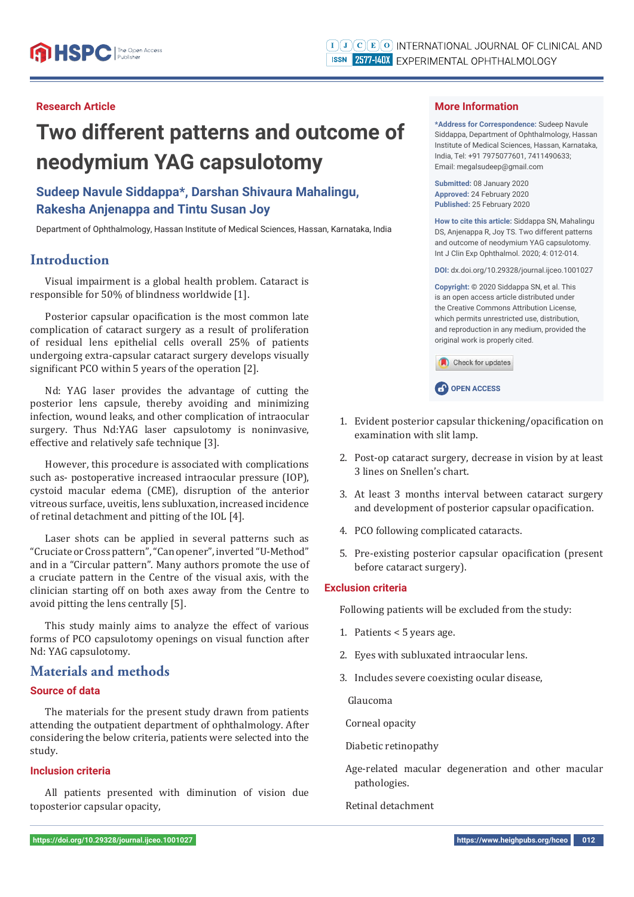#### **Research Article**

# **Two different patterns and outcome of neodymium YAG capsulotomy**

## **Sudeep Navule Siddappa\*, Darshan Shivaura Mahalingu, Rakesha Anjenappa and Tintu Susan Joy**

Department of Ophthalmology, Hassan Institute of Medical Sciences, Hassan, Karnataka, India

## **Introduction**

Visual impairment is a global health problem. Cataract is responsible for 50% of blindness worldwide [1].

Posterior capsular opacification is the most common late complication of cataract surgery as a result of proliferation of residual lens epithelial cells overall 25% of patients undergoing extra-capsular cataract surgery develops visually significant PCO within 5 years of the operation [2].

Nd: YAG laser provides the advantage of cutting the posterior lens capsule, thereby avoiding and minimizing infection, wound leaks, and other complication of intraocular surgery. Thus Nd:YAG laser capsulotomy is noninvasive, effective and relatively safe technique [3].

However, this procedure is associated with complications such as- postoperative increased intraocular pressure (IOP), cystoid macular edema (CME), disruption of the anterior vitreous surface, uveitis, lens subluxation, increased incidence of retinal detachment and pitting of the IOL [4].

Laser shots can be applied in several patterns such as "Cruciate or Cross pattern", "Can opener", inverted "U-Method" and in a "Circular pattern". Many authors promote the use of a cruciate pattern in the Centre of the visual axis, with the clinician starting off on both axes away from the Centre to avoid pitting the lens centrally [5].

This study mainly aims to analyze the effect of various forms of PCO capsulotomy openings on visual function after Nd: YAG capsulotomy.

## **Materials and methods**

#### **Source of data**

The materials for the present study drawn from patients attending the outpatient department of ophthalmology. After considering the below criteria, patients were selected into the study.

#### **Inclusion criteria**

All patients presented with diminution of vision due toposterior capsular opacity,

#### **More Information**

**\*Address for Correspondence:** Sudeep Navule Siddappa, Department of Ophthalmology, Hassan Institute of Medical Sciences, Hassan, Karnataka, India, Tel: +91 7975077601, 7411490633; Email: megalsudeep@gmail.com

**Submitted:** 08 January 2020 **Approved:** 24 February 2020 **Published:** 25 February 2020

**How to cite this article:** Siddappa SN, Mahalingu DS, Anjenappa R, Joy TS. Two different patterns and outcome of neodymium YAG capsulotomy. Int J Clin Exp Ophthalmol. 2020; 4: 012-014.

**DOI:** dx.doi.org/10.29328/journal.ijceo.1001027

**Copyright: ©** 2020 Siddappa SN, et al. This is an open access article distributed under the Creative Commons Attribution License, which permits unrestricted use, distribution and reproduction in any medium, provided the original work is properly cited.

Check for updates

**CP** OPEN ACCESS

- 1. Evident posterior capsular thickening/opacification on examination with slit lamp.
- 2. Post-op cataract surgery, decrease in vision by at least 3 lines on Snellen's chart.
- 3. At least 3 months interval between cataract surgery and development of posterior capsular opacification.
- 4. PCO following complicated cataracts.
- 5. Pre-existing posterior capsular opacification (present before cataract surgery).

#### **Exclusion criteria**

Following patients will be excluded from the study:

- 1. Patients < 5 years age.
- 2. Eyes with subluxated intraocular lens.
- 3. Includes severe coexisting ocular disease,

Glaucoma

Corneal opacity

Diabetic retinopathy

Age-related macular degeneration and other macular pathologies.

Retinal detachment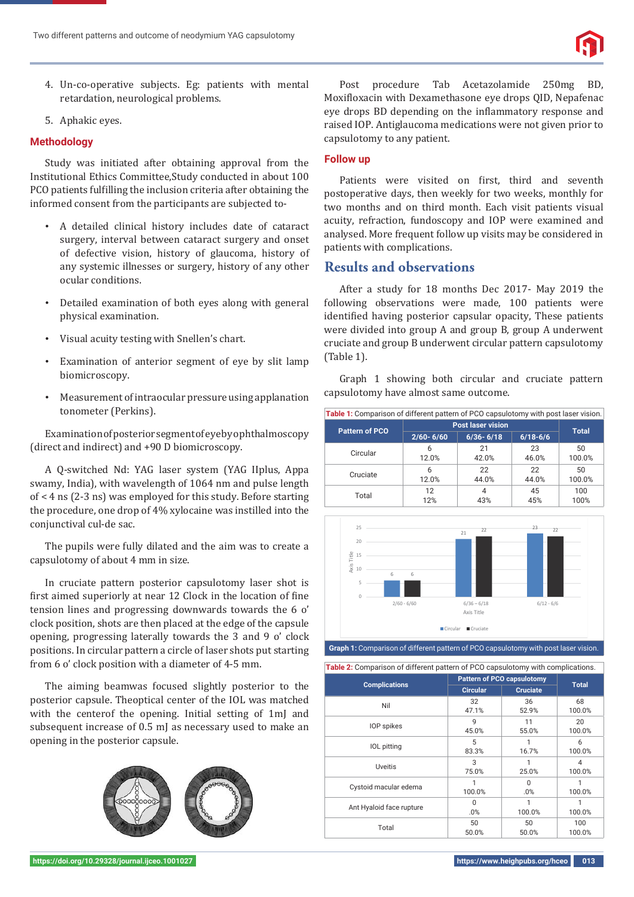- 4. Un-co-operative subjects. Eg: patients with mental retardation, neurological problems.
- 5. Aphakic eyes.

#### **Methodology**

Study was initiated after obtaining approval from the Institutional Ethics Committee,Study conducted in about 100 PCO patients fulfilling the inclusion criteria after obtaining the informed consent from the participants are subjected to-

- A detailed clinical history includes date of cataract surgery, interval between cataract surgery and onset of defective vision, history of glaucoma, history of any systemic illnesses or surgery, history of any other ocular conditions.
- Detailed examination of both eyes along with general physical examination.
- Visual acuity testing with Snellen's chart.
- Examination of anterior segment of eye by slit lamp biomicroscopy.
- Measurement of intraocular pressure using applanation tonometer (Perkins).

Examination of posterior segment of eye by ophthalmoscopy (direct and indirect) and +90 D biomicroscopy.

A Q-switched Nd: YAG laser system (YAG IIplus, Appa swamy, India), with wavelength of 1064 nm and pulse length of < 4 ns (2-3 ns) was employed for this study. Before starting the procedure, one drop of 4% xylocaine was instilled into the conjunctival cul-de sac.

The pupils were fully dilated and the aim was to create a capsulotomy of about 4 mm in size.

In cruciate pattern posterior capsulotomy laser shot is first aimed superiorly at near 12 Clock in the location of fine tension lines and progressing downwards towards the 6 o' clock position, shots are then placed at the edge of the capsule opening, progressing laterally towards the 3 and 9 o' clock positions. In circular pattern a circle of laser shots put starting from 6 o' clock position with a diameter of 4-5 mm.

The aiming beamwas focused slightly posterior to the posterior capsule. Theoptical center of the IOL was matched with the centerof the opening. Initial setting of 1mJ and subsequent increase of 0.5 mJ as necessary used to make an opening in the posterior capsule.



Post procedure Tab Acetazolamide 250mg BD, Moxifloxacin with Dexamethasone eye drops QID, Nepafenac eye drops BD depending on the inflammatory response and raised IOP. Antiglaucoma medications were not given prior to capsulotomy to any patient.

#### **Follow up**

Patients were visited on first, third and seventh postoperative days, then weekly for two weeks, monthly for two months and on third month. Each visit patients visual acuity, refraction, fundoscopy and IOP were examined and analysed. More frequent follow up visits may be considered in patients with complications.

## **Results and observations**

After a study for 18 months Dec 2017- May 2019 the following observations were made, 100 patients were identified having posterior capsular opacity, These patients were divided into group A and group B, group A underwent cruciate and group B underwent circular pattern capsulotomy (Table 1).

Graph 1 showing both circular and cruciate pattern capsulotomy have almost same outcome.

| Table 1: Comparison of different pattern of PCO capsulotomy with post laser vision. |                          |               |              |              |  |  |
|-------------------------------------------------------------------------------------|--------------------------|---------------|--------------|--------------|--|--|
| <b>Pattern of PCO</b>                                                               | <b>Post laser vision</b> |               |              |              |  |  |
|                                                                                     | $2/60 - 6/60$            | $6/36 - 6/18$ | $6/18 - 6/6$ | <b>Total</b> |  |  |
| Circular                                                                            | 6                        | 21            | 23           | 50           |  |  |
|                                                                                     | 12.0%                    | 42.0%         | 46.0%        | 100.0%       |  |  |
| Cruciate                                                                            | 6                        | 22            | 22           | 50           |  |  |
|                                                                                     | 12.0%                    | 44.0%         | 44.0%        | 100.0%       |  |  |
| Total                                                                               | 12                       | 4             | 45           | 100          |  |  |
|                                                                                     | 12%                      | 43%           | 45%          | 100%         |  |  |



**Table 2:** Comparison of different pattern of PCO capsulotomy with complications.

|                          |                 | <b>Pattern of PCO capsulotomy</b> |               |
|--------------------------|-----------------|-----------------------------------|---------------|
| <b>Complications</b>     | <b>Circular</b> | <b>Cruciate</b>                   | <b>Total</b>  |
| Nil                      | 32<br>47.1%     | 36<br>52.9%                       | 68<br>100.0%  |
| IOP spikes               | 9<br>45.0%      | 11<br>55.0%                       | 20<br>100.0%  |
| <b>IOL</b> pitting       | 5<br>83.3%      | 16.7%                             | 6<br>100.0%   |
| <b>Uveitis</b>           | 3<br>75.0%      | 25.0%                             | 4<br>100.0%   |
| Cystoid macular edema    | 100.0%          | $\Omega$<br>.0%                   | 1<br>100.0%   |
| Ant Hyaloid face rupture | $\Omega$<br>.0% | 100.0%                            | 100.0%        |
| Total                    | 50<br>50.0%     | 50<br>50.0%                       | 100<br>100.0% |